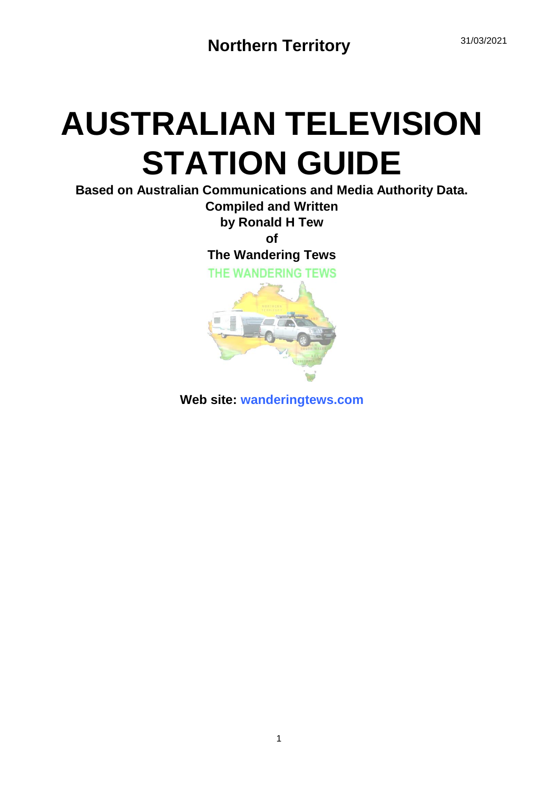## **AUSTRALIAN TELEVISION STATION GUIDE**

**Based on Australian Communications and Media Authority Data. Compiled and Written by Ronald H Tew of**

**The Wandering Tews**

THE WANDERING TEWS



**Web site: wanderingtews.com**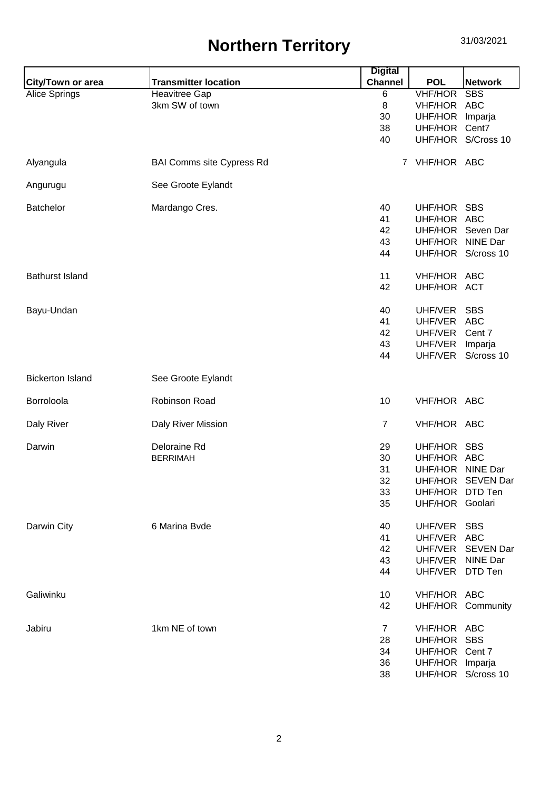## **Northern Territory** 31/03/2021

|                         |                                  | <b>Digital</b> |                  |                    |
|-------------------------|----------------------------------|----------------|------------------|--------------------|
| City/Town or area       | <b>Transmitter location</b>      | <b>Channel</b> | <b>POL</b>       | <b>Network</b>     |
| Alice Springs           | <b>Heavitree Gap</b>             | 6              | <b>VHF/HOR</b>   | <b>SBS</b>         |
|                         | 3km SW of town                   | 8              | VHF/HOR          | <b>ABC</b>         |
|                         |                                  | 30             | UHF/HOR          | Imparja            |
|                         |                                  | 38             | UHF/HOR          | Cent7              |
|                         |                                  | 40             |                  | UHF/HOR S/Cross 10 |
| Alyangula               | <b>BAI Comms site Cypress Rd</b> |                | 7 VHF/HOR ABC    |                    |
| Angurugu                | See Groote Eylandt               |                |                  |                    |
| <b>Batchelor</b>        | Mardango Cres.                   | 40             | UHF/HOR SBS      |                    |
|                         |                                  | 41             | UHF/HOR ABC      |                    |
|                         |                                  | 42             |                  | UHF/HOR Seven Dar  |
|                         |                                  | 43             | UHF/HOR NINE Dar |                    |
|                         |                                  | 44             |                  | UHF/HOR S/cross 10 |
| <b>Bathurst Island</b>  |                                  | 11             | VHF/HOR ABC      |                    |
|                         |                                  | 42             | UHF/HOR ACT      |                    |
| Bayu-Undan              |                                  | 40             | UHF/VER          | <b>SBS</b>         |
|                         |                                  | 41             | UHF/VER ABC      |                    |
|                         |                                  | 42             | UHF/VER Cent 7   |                    |
|                         |                                  | 43             | UHF/VER          | Imparja            |
|                         |                                  | 44             | UHF/VER          | S/cross 10         |
| <b>Bickerton Island</b> | See Groote Eylandt               |                |                  |                    |
| Borroloola              | Robinson Road                    | 10             | VHF/HOR ABC      |                    |
| Daly River              | Daly River Mission               | $\overline{7}$ | VHF/HOR ABC      |                    |
| Darwin                  | Deloraine Rd                     | 29             | UHF/HOR SBS      |                    |
|                         | <b>BERRIMAH</b>                  | 30             | UHF/HOR ABC      |                    |
|                         |                                  | 31             | UHF/HOR NINE Dar |                    |
|                         |                                  | 32             | UHF/HOR          | <b>SEVEN Dar</b>   |
|                         |                                  | 33             | UHF/HOR DTD Ten  |                    |
|                         |                                  | 35             | UHF/HOR Goolari  |                    |
| Darwin City             | 6 Marina Byde                    | 40             | UHF/VER SBS      |                    |
|                         |                                  | 41             | UHF/VER ABC      |                    |
|                         |                                  | 42             | UHF/VER          | <b>SEVEN Dar</b>   |
|                         |                                  | 43             | UHF/VER          | <b>NINE Dar</b>    |
|                         |                                  | 44             | UHF/VER DTD Ten  |                    |
|                         |                                  |                |                  |                    |
| Galiwinku               |                                  | 10             | VHF/HOR ABC      |                    |
|                         |                                  | 42             |                  | UHF/HOR Community  |
| Jabiru                  | 1km NE of town                   | $\overline{7}$ | VHF/HOR ABC      |                    |
|                         |                                  | 28             | UHF/HOR SBS      |                    |
|                         |                                  | 34             | UHF/HOR Cent 7   |                    |
|                         |                                  | 36             | UHF/HOR Imparja  |                    |
|                         |                                  | 38             |                  | UHF/HOR S/cross 10 |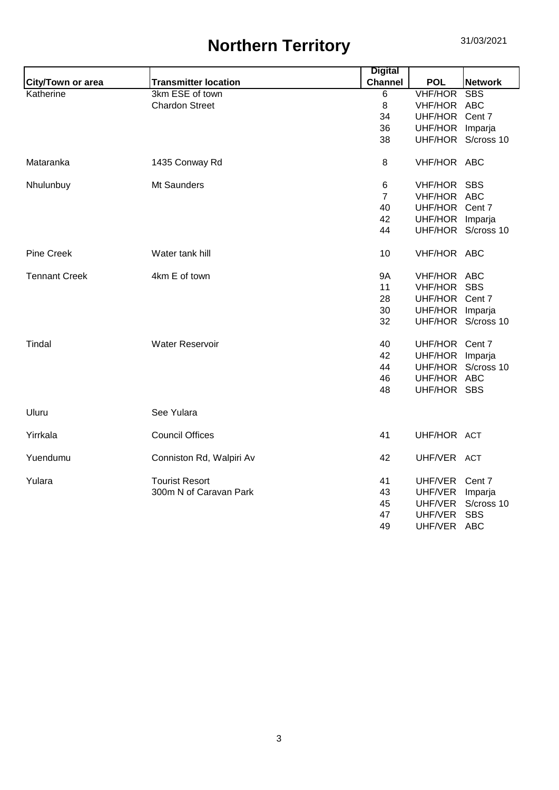## **Northern Territory** 31/03/2021

|                      |                             | <b>Digital</b> |                 |                    |
|----------------------|-----------------------------|----------------|-----------------|--------------------|
| City/Town or area    | <b>Transmitter location</b> | <b>Channel</b> | <b>POL</b>      | <b>Network</b>     |
| Katherine            | 3km ESE of town             | 6              | <b>VHF/HOR</b>  | <b>SBS</b>         |
|                      | <b>Chardon Street</b>       | 8              | VHF/HOR ABC     |                    |
|                      |                             | 34             | UHF/HOR Cent 7  |                    |
|                      |                             | 36             | UHF/HOR         | Imparja            |
|                      |                             | 38             | UHF/HOR         | S/cross 10         |
| Mataranka            | 1435 Conway Rd              | 8              | VHF/HOR ABC     |                    |
| Nhulunbuy            | Mt Saunders                 | 6              | VHF/HOR SBS     |                    |
|                      |                             | $\overline{7}$ | VHF/HOR ABC     |                    |
|                      |                             | 40             | UHF/HOR Cent 7  |                    |
|                      |                             | 42             | UHF/HOR Imparja |                    |
|                      |                             | 44             |                 | UHF/HOR S/cross 10 |
| Pine Creek           | Water tank hill             | 10             | VHF/HOR ABC     |                    |
| <b>Tennant Creek</b> | 4km E of town               | <b>9A</b>      | VHF/HOR ABC     |                    |
|                      |                             | 11             | VHF/HOR SBS     |                    |
|                      |                             | 28             | UHF/HOR Cent 7  |                    |
|                      |                             | 30             | UHF/HOR Imparja |                    |
|                      |                             | 32             | UHF/HOR         | S/cross 10         |
| Tindal               | <b>Water Reservoir</b>      | 40             | UHF/HOR Cent 7  |                    |
|                      |                             | 42             | UHF/HOR Imparja |                    |
|                      |                             | 44             | UHF/HOR         | S/cross 10         |
|                      |                             | 46             | UHF/HOR ABC     |                    |
|                      |                             | 48             | UHF/HOR SBS     |                    |
| Uluru                | See Yulara                  |                |                 |                    |
| Yirrkala             | <b>Council Offices</b>      | 41             | UHF/HOR ACT     |                    |
| Yuendumu             | Conniston Rd, Walpiri Av    | 42             | UHF/VER ACT     |                    |
| Yulara               | <b>Tourist Resort</b>       | 41             | UHF/VER         | Cent 7             |
|                      | 300m N of Caravan Park      | 43             | UHF/VER         | Imparja            |
|                      |                             | 45             | UHF/VER         | S/cross 10         |
|                      |                             | 47             | UHF/VER         | <b>SBS</b>         |
|                      |                             | 49             | UHF/VER         | ABC                |